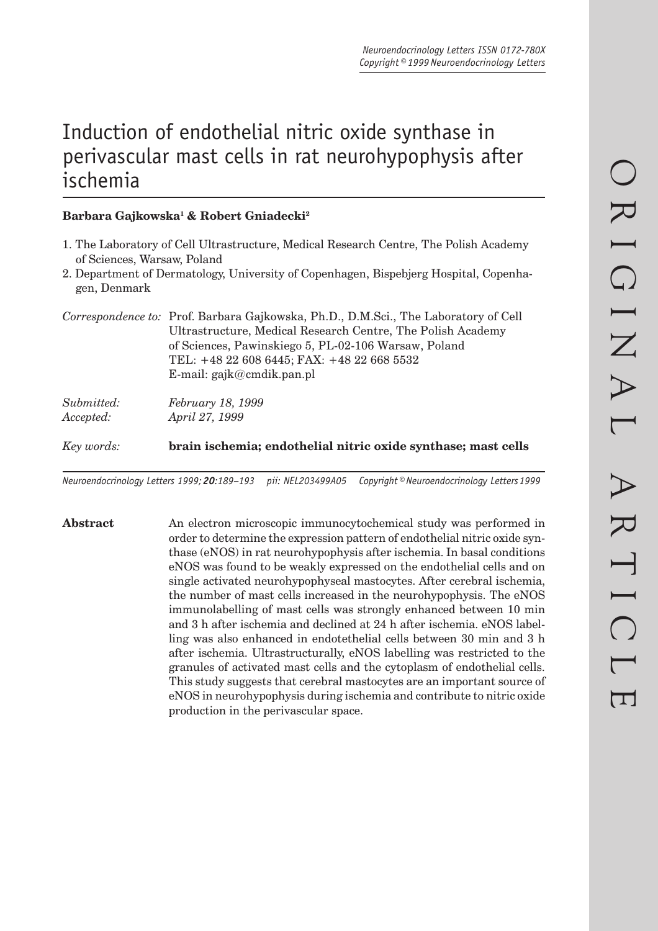# Induction of endothelial nitric oxide synthase in perivascular mast cells in rat neurohypophysis after ischemia

## **Barbara Gajkowska1 & Robert Gniadecki2**

- 1. The Laboratory of Cell Ultrastructure, Medical Research Centre, The Polish Academy of Sciences, Warsaw, Poland
- 2. Department of Dermatology, University of Copenhagen, Bispebjerg Hospital, Copenhagen, Denmark

|            | Correspondence to: Prof. Barbara Gajkowska, Ph.D., D.M.Sci., The Laboratory of Cell<br>Ultrastructure, Medical Research Centre, The Polish Academy<br>of Sciences, Pawinskiego 5, PL-02-106 Warsaw, Poland<br>TEL: +48 22 608 6445; FAX: +48 22 668 5532<br>E-mail: $\text{gajk}(\omega \text{cmdik.pan.pl})$ |
|------------|---------------------------------------------------------------------------------------------------------------------------------------------------------------------------------------------------------------------------------------------------------------------------------------------------------------|
| Submitted: | February 18, 1999                                                                                                                                                                                                                                                                                             |

*Accepted: April 27, 1999*

*Key words:* **brain ischemia; endothelial nitric oxide synthase; mast cells**

*Neuroendocrinology Letters 1999; 20:189–193 pii: NEL203499A05 Copyright © Neuroendocrinology Letters 1999*

**Abstract** An electron microscopic immunocytochemical study was performed in order to determine the expression pattern of endothelial nitric oxide synthase (eNOS) in rat neurohypophysis after ischemia. In basal conditions eNOS was found to be weakly expressed on the endothelial cells and on single activated neurohypophyseal mastocytes. After cerebral ischemia, the number of mast cells increased in the neurohypophysis. The eNOS immunolabelling of mast cells was strongly enhanced between 10 min and 3 h after ischemia and declined at 24 h after ischemia. eNOS labelling was also enhanced in endotethelial cells between 30 min and 3 h after ischemia. Ultrastructurally, eNOS labelling was restricted to the granules of activated mast cells and the cytoplasm of endothelial cells. This study suggests that cerebral mastocytes are an important source of eNOS in neurohypophysis during ischemia and contribute to nitric oxide production in the perivascular space.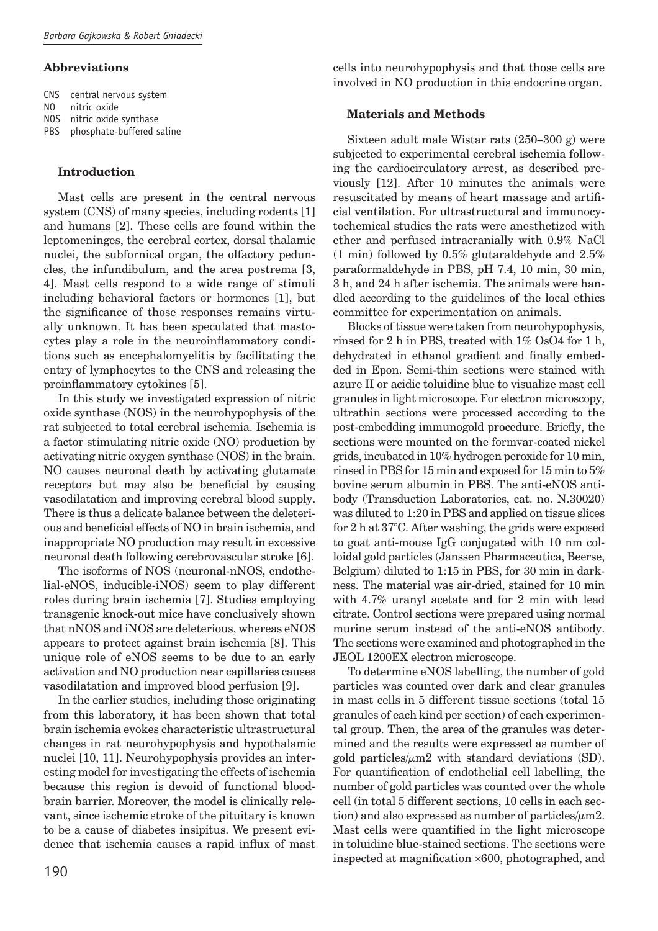#### **Abbreviations**

CNS central nervous system

- NO nitric oxide
- NOS nitric oxide synthase PBS phosphate-buffered saline

### **Introduction**

Mast cells are present in the central nervous system (CNS) of many species, including rodents [1] and humans [2]. These cells are found within the leptomeninges, the cerebral cortex, dorsal thalamic nuclei, the subfornical organ, the olfactory peduncles, the infundibulum, and the area postrema [3, 4]. Mast cells respond to a wide range of stimuli including behavioral factors or hormones [1], but the significance of those responses remains virtually unknown. It has been speculated that mastocytes play a role in the neuroinflammatory conditions such as encephalomyelitis by facilitating the entry of lymphocytes to the CNS and releasing the proinflammatory cytokines [5].

In this study we investigated expression of nitric oxide synthase (NOS) in the neurohypophysis of the rat subjected to total cerebral ischemia. Ischemia is a factor stimulating nitric oxide (NO) production by activating nitric oxygen synthase (NOS) in the brain. NO causes neuronal death by activating glutamate receptors but may also be beneficial by causing vasodilatation and improving cerebral blood supply. There is thus a delicate balance between the deleterious and beneficial effects of NO in brain ischemia, and inappropriate NO production may result in excessive neuronal death following cerebrovascular stroke [6].

The isoforms of NOS (neuronal-nNOS, endothelial-eNOS, inducible-iNOS) seem to play different roles during brain ischemia [7]. Studies employing transgenic knock-out mice have conclusively shown that nNOS and iNOS are deleterious, whereas eNOS appears to protect against brain ischemia [8]. This unique role of eNOS seems to be due to an early activation and NO production near capillaries causes vasodilatation and improved blood perfusion [9].

In the earlier studies, including those originating from this laboratory, it has been shown that total brain ischemia evokes characteristic ultrastructural changes in rat neurohypophysis and hypothalamic nuclei [10, 11]. Neurohypophysis provides an interesting model for investigating the effects of ischemia because this region is devoid of functional bloodbrain barrier. Moreover, the model is clinically relevant, since ischemic stroke of the pituitary is known to be a cause of diabetes insipitus. We present evidence that ischemia causes a rapid influx of mast

cells into neurohypophysis and that those cells are involved in NO production in this endocrine organ.

### **Materials and Methods**

Sixteen adult male Wistar rats (250–300 g) were subjected to experimental cerebral ischemia following the cardiocirculatory arrest, as described previously [12]. After 10 minutes the animals were resuscitated by means of heart massage and artificial ventilation. For ultrastructural and immunocytochemical studies the rats were anesthetized with ether and perfused intracranially with 0.9% NaCl  $(1 \text{ min})$  followed by  $0.5\%$  glutaral<br>dehyde and  $2.5\%$ paraformaldehyde in PBS, pH 7.4, 10 min, 30 min, 3 h, and 24 h after ischemia. The animals were handled according to the guidelines of the local ethics committee for experimentation on animals.

Blocks of tissue were taken from neurohypophysis, rinsed for 2 h in PBS, treated with 1% OsO4 for 1 h, dehydrated in ethanol gradient and finally embedded in Epon. Semi-thin sections were stained with azure II or acidic toluidine blue to visualize mast cell granules in light microscope. For electron microscopy, ultrathin sections were processed according to the post-embedding immunogold procedure. Briefly, the sections were mounted on the formvar-coated nickel grids, incubated in 10% hydrogen peroxide for 10 min, rinsed in PBS for 15 min and exposed for 15 min to 5% bovine serum albumin in PBS. The anti-eNOS antibody (Transduction Laboratories, cat. no. N.30020) was diluted to 1:20 in PBS and applied on tissue slices for 2 h at 37°C. After washing, the grids were exposed to goat anti-mouse IgG conjugated with 10 nm colloidal gold particles (Janssen Pharmaceutica, Beerse, Belgium) diluted to 1:15 in PBS, for 30 min in darkness. The material was air-dried, stained for 10 min with 4.7% uranyl acetate and for 2 min with lead citrate. Control sections were prepared using normal murine serum instead of the anti-eNOS antibody. The sections were examined and photographed in the JEOL 1200EX electron microscope.

To determine eNOS labelling, the number of gold particles was counted over dark and clear granules in mast cells in 5 different tissue sections (total 15 granules of each kind per section) of each experimental group. Then, the area of the granules was determined and the results were expressed as number of gold particles/ $\mu$ m2 with standard deviations (SD). For quantification of endothelial cell labelling, the number of gold particles was counted over the whole cell (in total 5 different sections, 10 cells in each section) and also expressed as number of particles/ $\mu$ m2. Mast cells were quantified in the light microscope in toluidine blue-stained sections. The sections were inspected at magnification  $\times 600$ , photographed, and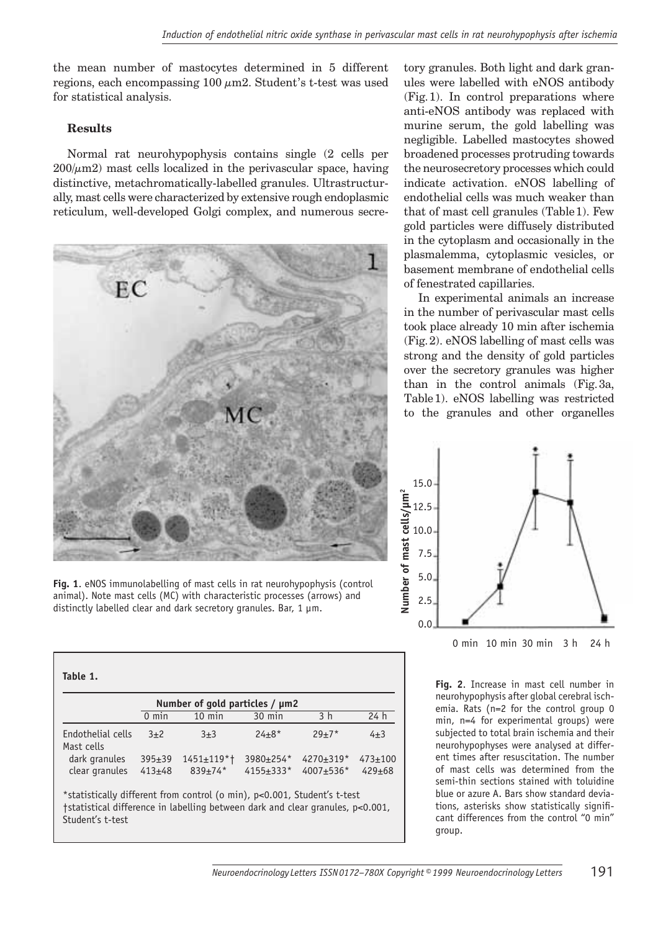the mean number of mastocytes determined in 5 different regions, each encompassing  $100 \mu m2$ . Student's t-test was used for statistical analysis.

## **Results**

Student's t-test

Normal rat neurohypophysis contains single (2 cells per  $200/\mu$ m2) mast cells localized in the perivascular space, having distinctive, metachromatically-labelled granules. Ultrastructurally, mast cells were characterized by extensive rough endoplasmic reticulum, well-developed Golgi complex, and numerous secre-



tory granules. Both light and dark granules were labelled with eNOS antibody (Fig. 1). In control preparations where anti-eNOS antibody was replaced with murine serum, the gold labelling was negligible. Labelled mastocytes showed broadened processes protruding towards the neurosecretory processes which could indicate activation. eNOS labelling of endothelial cells was much weaker than that of mast cell granules (Table 1). Few gold particles were diffusely distributed in the cytoplasm and occasionally in the plasmalemma, cytoplasmic vesicles, or basement membrane of endothelial cells of fenestrated capillaries.

In experimental animals an increase in the number of perivascular mast cells took place already 10 min after ischemia (Fig. 2). eNOS labelling of mast cells was strong and the density of gold particles over the secretory granules was higher than in the control animals (Fig. 3a, Table 1). eNOS labelling was restricted to the granules and other organelles



0 min 10 min 30 min 3 h 24 h

**Fig. 2**. Increase in mast cell number in neurohypophysis after global cerebral ischemia. Rats (n=2 for the control group 0 min, n=4 for experimental groups) were subjected to total brain ischemia and their neurohypophyses were analysed at different times after resuscitation. The number of mast cells was determined from the semi-thin sections stained with toluidine blue or azure A. Bars show standard deviations, asterisks show statistically significant differences from the control "0 min" group.

**Fig. 1**. eNOS immunolabelling of mast cells in rat neurohypophysis (control animal). Note mast cells (MC) with characteristic processes (arrows) and distinctly labelled clear and dark secretory granules. Bar,  $1 \mu m$ .

| Number of gold particles / $\mu$ m2 |                 |                   |           |                |                 |  |  |
|-------------------------------------|-----------------|-------------------|-----------|----------------|-----------------|--|--|
|                                     | $0 \text{ min}$ | $10$ min          | $30$ min  | 3 <sub>h</sub> | 24 <sub>h</sub> |  |  |
| Endothelial cells<br>Mast cells     | $3+2$           | $3 + 3$           | $24 + 8*$ | $29 + 7*$      | $4\pm3$         |  |  |
| dark granules                       | $395 + 39$      | $1451 \pm 119$ *† | 3980±254* | 4270±319*      | $473 \pm 100$   |  |  |
| clear granules                      | $413+48$        | $839 \pm 74$ *    | 4155±333* | 4007±536*      | $429 + 68$      |  |  |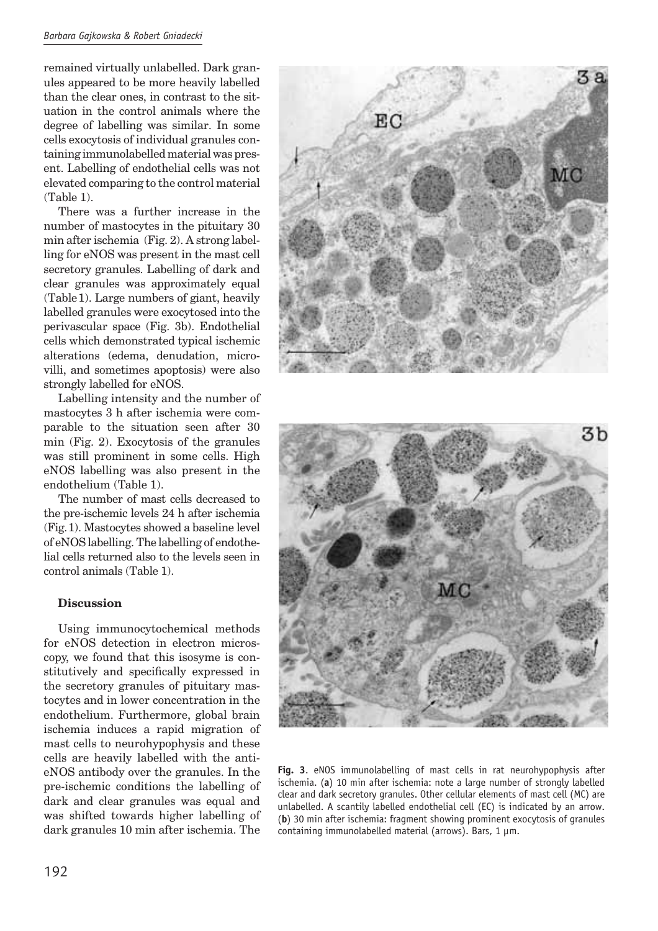remained virtually unlabelled. Dark granules appeared to be more heavily labelled than the clear ones, in contrast to the situation in the control animals where the degree of labelling was similar. In some cells exocytosis of individual granules containing immunolabelled material was present. Labelling of endothelial cells was not elevated comparing to the control material (Table 1).

There was a further increase in the number of mastocytes in the pituitary 30 min after ischemia (Fig. 2). A strong labelling for eNOS was present in the mast cell secretory granules. Labelling of dark and clear granules was approximately equal (Table 1). Large numbers of giant, heavily labelled granules were exocytosed into the perivascular space (Fig. 3b). Endothelial cells which demonstrated typical ischemic alterations (edema, denudation, microvilli, and sometimes apoptosis) were also strongly labelled for eNOS.

Labelling intensity and the number of mastocytes 3 h after ischemia were comparable to the situation seen after 30 min (Fig. 2). Exocytosis of the granules was still prominent in some cells. High eNOS labelling was also present in the endothelium (Table 1).

The number of mast cells decreased to the pre-ischemic levels 24 h after ischemia (Fig. 1). Mastocytes showed a baseline level of eNOS labelling. The labelling of endothelial cells returned also to the levels seen in control animals (Table 1).

## **Discussion**

Using immunocytochemical methods for eNOS detection in electron microscopy, we found that this isosyme is constitutively and specifically expressed in the secretory granules of pituitary mastocytes and in lower concentration in the endothelium. Furthermore, global brain ischemia induces a rapid migration of mast cells to neurohypophysis and these cells are heavily labelled with the antieNOS antibody over the granules. In the pre-ischemic conditions the labelling of dark and clear granules was equal and was shifted towards higher labelling of dark granules 10 min after ischemia. The





**Fig. 3**. eNOS immunolabelling of mast cells in rat neurohypophysis after ischemia. (**a**) 10 min after ischemia: note a large number of strongly labelled clear and dark secretory granules. Other cellular elements of mast cell (MC) are unlabelled. A scantily labelled endothelial cell (EC) is indicated by an arrow. (**b**) 30 min after ischemia: fragment showing prominent exocytosis of granules containing immunolabelled material (arrows). Bars, 1 um.